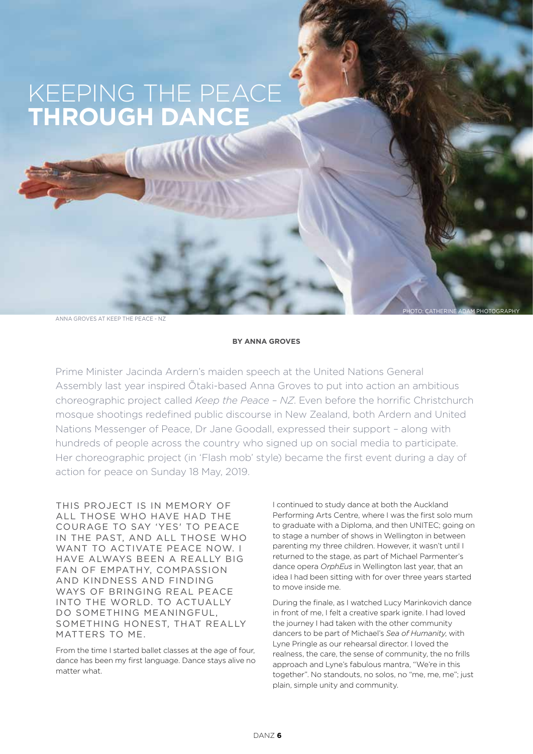## KEEPING THE PEACE **THROUGH DANCE**

ANNA GROVES AT KEEP THE PEACE - NZ

## **BY ANNA GROVES**

Prime Minister Jacinda Ardern's maiden speech at the United Nations General Assembly last year inspired Ōtaki-based Anna Groves to put into action an ambitious choreographic project called *Keep the Peace – NZ*. Even before the horrific Christchurch mosque shootings redefined public discourse in New Zealand, both Ardern and United Nations Messenger of Peace, Dr Jane Goodall, expressed their support – along with hundreds of people across the country who signed up on social media to participate. Her choreographic project (in 'Flash mob' style) became the first event during a day of action for peace on Sunday 18 May, 2019.

THIS PROJECT IS IN MEMORY OF ALL THOSE WHO HAVE HAD THE COURAGE TO SAY 'YES' TO PEACE IN THE PAST, AND ALL THOSE WHO WANT TO ACTIVATE PEACE NOW. I HAVE ALWAYS BEEN A REALLY BIG FAN OF EMPATHY, COMPASSION AND KINDNESS AND FINDING WAYS OF BRINGING REAL PEACE INTO THE WORLD. TO ACTUALLY DO SOMETHING MEANINGFUL, SOMETHING HONEST, THAT REALLY MATTERS TO ME.

From the time I started ballet classes at the age of four, dance has been my first language. Dance stays alive no matter what.

I continued to study dance at both the Auckland Performing Arts Centre, where I was the first solo mum to graduate with a Diploma, and then UNITEC; going on to stage a number of shows in Wellington in between parenting my three children. However, it wasn't until I returned to the stage, as part of Michael Parmenter's dance opera *OrphEus* in Wellington last year, that an idea I had been sitting with for over three years started to move inside me.

PHOTO: CATHERINE ADAM PHOTOGRAPHY

During the finale, as I watched Lucy Marinkovich dance in front of me, I felt a creative spark ignite. I had loved the journey I had taken with the other community dancers to be part of Michael's *Sea of Humanity*, with Lyne Pringle as our rehearsal director. I loved the realness, the care, the sense of community, the no frills approach and Lyne's fabulous mantra, "We're in this together". No standouts, no solos, no "me, me, me"; just plain, simple unity and community.